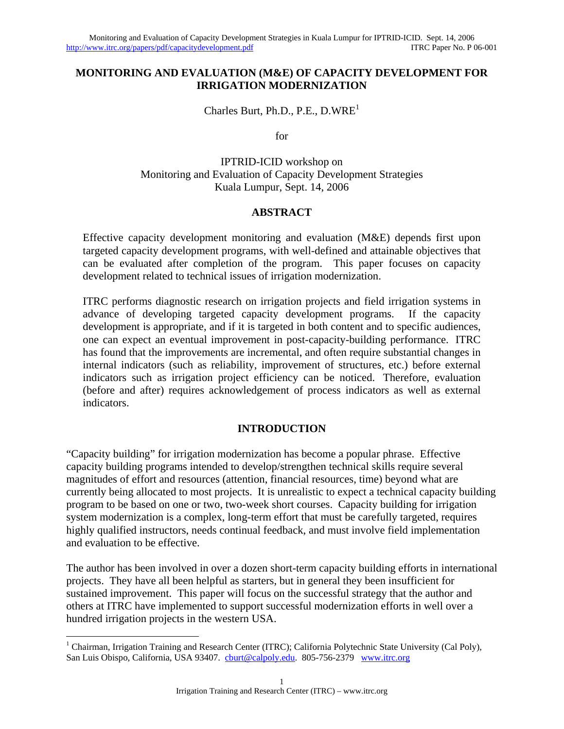#### **MONITORING AND EVALUATION (M&E) OF CAPACITY DEVELOPMENT FOR IRRIGATION MODERNIZATION**

Charles Burt, Ph.D., P.E.,  $D.WRE<sup>1</sup>$ 

for

IPTRID-ICID workshop on Monitoring and Evaluation of Capacity Development Strategies Kuala Lumpur, Sept. 14, 2006

#### **ABSTRACT**

Effective capacity development monitoring and evaluation (M&E) depends first upon targeted capacity development programs, with well-defined and attainable objectives that can be evaluated after completion of the program. This paper focuses on capacity development related to technical issues of irrigation modernization.

ITRC performs diagnostic research on irrigation projects and field irrigation systems in advance of developing targeted capacity development programs. If the capacity development is appropriate, and if it is targeted in both content and to specific audiences, one can expect an eventual improvement in post-capacity-building performance. ITRC has found that the improvements are incremental, and often require substantial changes in internal indicators (such as reliability, improvement of structures, etc.) before external indicators such as irrigation project efficiency can be noticed. Therefore, evaluation (before and after) requires acknowledgement of process indicators as well as external indicators.

#### **INTRODUCTION**

"Capacity building" for irrigation modernization has become a popular phrase. Effective capacity building programs intended to develop/strengthen technical skills require several magnitudes of effort and resources (attention, financial resources, time) beyond what are currently being allocated to most projects. It is unrealistic to expect a technical capacity building program to be based on one or two, two-week short courses. Capacity building for irrigation system modernization is a complex, long-term effort that must be carefully targeted, requires highly qualified instructors, needs continual feedback, and must involve field implementation and evaluation to be effective.

The author has been involved in over a dozen short-term capacity building efforts in international projects. They have all been helpful as starters, but in general they been insufficient for sustained improvement. This paper will focus on the successful strategy that the author and others at ITRC have implemented to support successful modernization efforts in well over a hundred irrigation projects in the western USA.

 $\overline{a}$ 

<sup>&</sup>lt;sup>1</sup> Chairman, Irrigation Training and Research Center (ITRC); California Polytechnic State University (Cal Poly), San Luis Obispo, California, USA 93407. cburt@calpoly.edu. 805-756-2379 www.itrc.org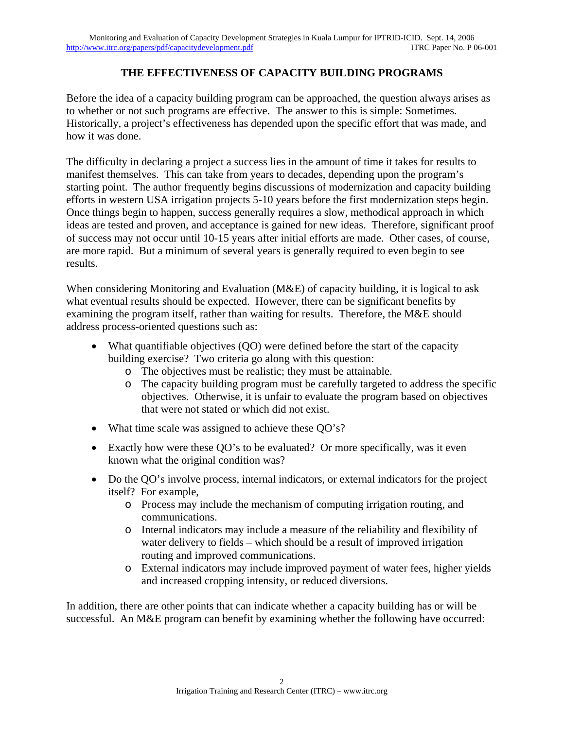### **THE EFFECTIVENESS OF CAPACITY BUILDING PROGRAMS**

Before the idea of a capacity building program can be approached, the question always arises as to whether or not such programs are effective. The answer to this is simple: Sometimes. Historically, a project's effectiveness has depended upon the specific effort that was made, and how it was done.

The difficulty in declaring a project a success lies in the amount of time it takes for results to manifest themselves. This can take from years to decades, depending upon the program's starting point. The author frequently begins discussions of modernization and capacity building efforts in western USA irrigation projects 5-10 years before the first modernization steps begin. Once things begin to happen, success generally requires a slow, methodical approach in which ideas are tested and proven, and acceptance is gained for new ideas. Therefore, significant proof of success may not occur until 10-15 years after initial efforts are made. Other cases, of course, are more rapid. But a minimum of several years is generally required to even begin to see results.

When considering Monitoring and Evaluation (M&E) of capacity building, it is logical to ask what eventual results should be expected. However, there can be significant benefits by examining the program itself, rather than waiting for results. Therefore, the M&E should address process-oriented questions such as:

- What quantifiable objectives (QO) were defined before the start of the capacity building exercise? Two criteria go along with this question:
	- o The objectives must be realistic; they must be attainable.
	- o The capacity building program must be carefully targeted to address the specific objectives. Otherwise, it is unfair to evaluate the program based on objectives that were not stated or which did not exist.
- What time scale was assigned to achieve these QO's?
- Exactly how were these QO's to be evaluated? Or more specifically, was it even known what the original condition was?
- Do the QO's involve process, internal indicators, or external indicators for the project itself? For example,
	- o Process may include the mechanism of computing irrigation routing, and communications.
	- o Internal indicators may include a measure of the reliability and flexibility of water delivery to fields – which should be a result of improved irrigation routing and improved communications.
	- o External indicators may include improved payment of water fees, higher yields and increased cropping intensity, or reduced diversions.

In addition, there are other points that can indicate whether a capacity building has or will be successful. An M&E program can benefit by examining whether the following have occurred: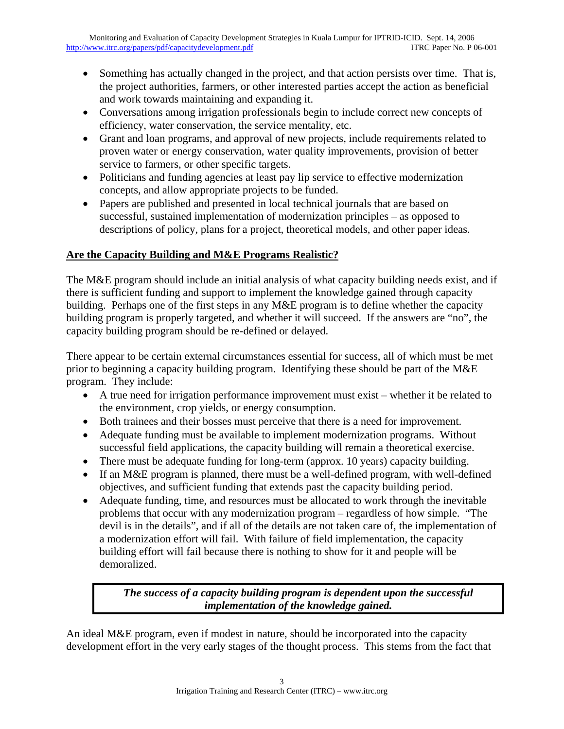- Something has actually changed in the project, and that action persists over time. That is, the project authorities, farmers, or other interested parties accept the action as beneficial and work towards maintaining and expanding it.
- Conversations among irrigation professionals begin to include correct new concepts of efficiency, water conservation, the service mentality, etc.
- Grant and loan programs, and approval of new projects, include requirements related to proven water or energy conservation, water quality improvements, provision of better service to farmers, or other specific targets.
- Politicians and funding agencies at least pay lip service to effective modernization concepts, and allow appropriate projects to be funded.
- Papers are published and presented in local technical journals that are based on successful, sustained implementation of modernization principles – as opposed to descriptions of policy, plans for a project, theoretical models, and other paper ideas.

# **Are the Capacity Building and M&E Programs Realistic?**

The M&E program should include an initial analysis of what capacity building needs exist, and if there is sufficient funding and support to implement the knowledge gained through capacity building. Perhaps one of the first steps in any M&E program is to define whether the capacity building program is properly targeted, and whether it will succeed. If the answers are "no", the capacity building program should be re-defined or delayed.

There appear to be certain external circumstances essential for success, all of which must be met prior to beginning a capacity building program. Identifying these should be part of the M&E program. They include:

- A true need for irrigation performance improvement must exist whether it be related to the environment, crop yields, or energy consumption.
- Both trainees and their bosses must perceive that there is a need for improvement.
- Adequate funding must be available to implement modernization programs. Without successful field applications, the capacity building will remain a theoretical exercise.
- There must be adequate funding for long-term (approx. 10 years) capacity building.
- If an M&E program is planned, there must be a well-defined program, with well-defined objectives, and sufficient funding that extends past the capacity building period.
- Adequate funding, time, and resources must be allocated to work through the inevitable problems that occur with any modernization program – regardless of how simple. "The devil is in the details", and if all of the details are not taken care of, the implementation of a modernization effort will fail. With failure of field implementation, the capacity building effort will fail because there is nothing to show for it and people will be demoralized.

## *The success of a capacity building program is dependent upon the successful implementation of the knowledge gained.*

An ideal M&E program, even if modest in nature, should be incorporated into the capacity development effort in the very early stages of the thought process. This stems from the fact that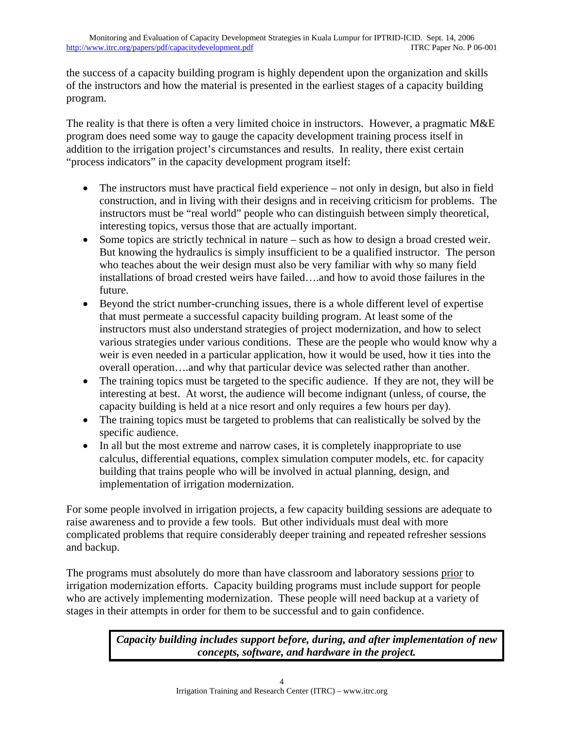the success of a capacity building program is highly dependent upon the organization and skills of the instructors and how the material is presented in the earliest stages of a capacity building program.

The reality is that there is often a very limited choice in instructors. However, a pragmatic M&E program does need some way to gauge the capacity development training process itself in addition to the irrigation project's circumstances and results. In reality, there exist certain "process indicators" in the capacity development program itself:

- The instructors must have practical field experience not only in design, but also in field construction, and in living with their designs and in receiving criticism for problems. The instructors must be "real world" people who can distinguish between simply theoretical, interesting topics, versus those that are actually important.
- Some topics are strictly technical in nature such as how to design a broad crested weir. But knowing the hydraulics is simply insufficient to be a qualified instructor. The person who teaches about the weir design must also be very familiar with why so many field installations of broad crested weirs have failed….and how to avoid those failures in the future.
- Beyond the strict number-crunching issues, there is a whole different level of expertise that must permeate a successful capacity building program. At least some of the instructors must also understand strategies of project modernization, and how to select various strategies under various conditions. These are the people who would know why a weir is even needed in a particular application, how it would be used, how it ties into the overall operation….and why that particular device was selected rather than another.
- The training topics must be targeted to the specific audience. If they are not, they will be interesting at best. At worst, the audience will become indignant (unless, of course, the capacity building is held at a nice resort and only requires a few hours per day).
- The training topics must be targeted to problems that can realistically be solved by the specific audience.
- In all but the most extreme and narrow cases, it is completely inappropriate to use calculus, differential equations, complex simulation computer models, etc. for capacity building that trains people who will be involved in actual planning, design, and implementation of irrigation modernization.

For some people involved in irrigation projects, a few capacity building sessions are adequate to raise awareness and to provide a few tools. But other individuals must deal with more complicated problems that require considerably deeper training and repeated refresher sessions and backup.

The programs must absolutely do more than have classroom and laboratory sessions prior to irrigation modernization efforts. Capacity building programs must include support for people who are actively implementing modernization. These people will need backup at a variety of stages in their attempts in order for them to be successful and to gain confidence.

> *Capacity building includes support before, during, and after implementation of new concepts, software, and hardware in the project.*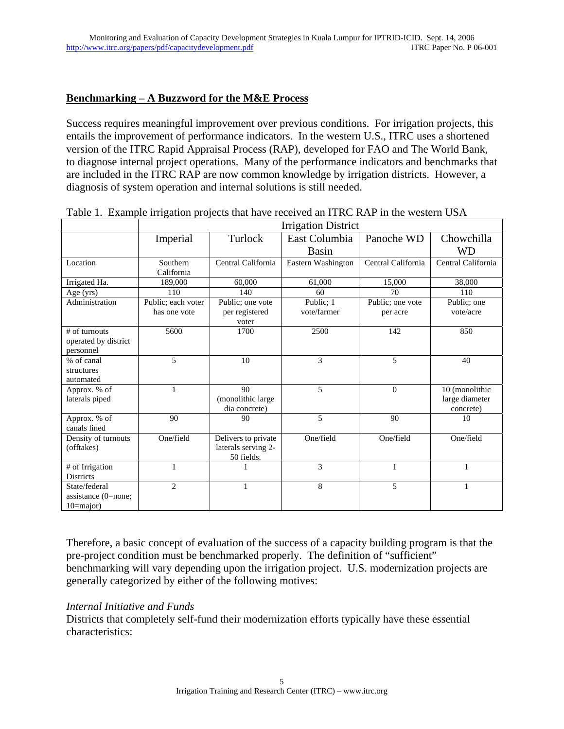#### **Benchmarking – A Buzzword for the M&E Process**

Success requires meaningful improvement over previous conditions. For irrigation projects, this entails the improvement of performance indicators. In the western U.S., ITRC uses a shortened version of the ITRC Rapid Appraisal Process (RAP), developed for FAO and The World Bank, to diagnose internal project operations. Many of the performance indicators and benchmarks that are included in the ITRC RAP are now common knowledge by irrigation districts. However, a diagnosis of system operation and internal solutions is still needed.

|                       | <b>Irrigation District</b> |                     |                    |                    |                    |
|-----------------------|----------------------------|---------------------|--------------------|--------------------|--------------------|
|                       | Imperial                   | Turlock             | East Columbia      | Panoche WD         | Chowchilla         |
|                       |                            |                     | <b>Basin</b>       |                    | WD                 |
| Location              | Southern                   | Central California  | Eastern Washington | Central California | Central California |
|                       | California                 |                     |                    |                    |                    |
| Irrigated Ha.         | 189,000                    | 60,000              | 61,000             | 15,000             | 38,000             |
| Age (yrs)             | 110                        | 140                 | 60                 | 70                 | 110                |
| Administration        | Public; each voter         | Public; one vote    | Public; 1          | Public; one vote   | Public; one        |
|                       | has one vote               | per registered      | vote/farmer        | per acre           | vote/acre          |
|                       |                            | voter               |                    |                    |                    |
| $#$ of turnouts       | 5600                       | 1700                | 2500               | 142                | 850                |
| operated by district  |                            |                     |                    |                    |                    |
| personnel             |                            |                     |                    |                    |                    |
| % of canal            | 5                          | 10                  | 3                  | 5                  | 40                 |
| structures            |                            |                     |                    |                    |                    |
| automated             |                            |                     |                    |                    |                    |
| Approx. % of          |                            | 90                  | 5                  | $\Omega$           | 10 (monolithic     |
| laterals piped        |                            | (monolithic large   |                    |                    | large diameter     |
|                       |                            | dia concrete)       |                    |                    | concrete)          |
| Approx. % of          | 90                         | 90                  | 5                  | 90                 | 10                 |
| canals lined          |                            |                     |                    |                    |                    |
| Density of turnouts   | One/field                  | Delivers to private | One/field          | One/field          | One/field          |
| (offtakes)            |                            | laterals serving 2- |                    |                    |                    |
|                       |                            | 50 fields.          |                    |                    |                    |
| # of Irrigation       | 1                          |                     | 3                  | 1                  | 1                  |
| <b>Districts</b>      |                            |                     |                    |                    |                    |
| State/federal         | $\overline{2}$             | 1                   | 8                  | 5                  |                    |
| assistance $(0=none;$ |                            |                     |                    |                    |                    |
| $10 = major$ )        |                            |                     |                    |                    |                    |

Table 1. Example irrigation projects that have received an ITRC RAP in the western USA

Therefore, a basic concept of evaluation of the success of a capacity building program is that the pre-project condition must be benchmarked properly. The definition of "sufficient" benchmarking will vary depending upon the irrigation project. U.S. modernization projects are generally categorized by either of the following motives:

#### *Internal Initiative and Funds*

Districts that completely self-fund their modernization efforts typically have these essential characteristics: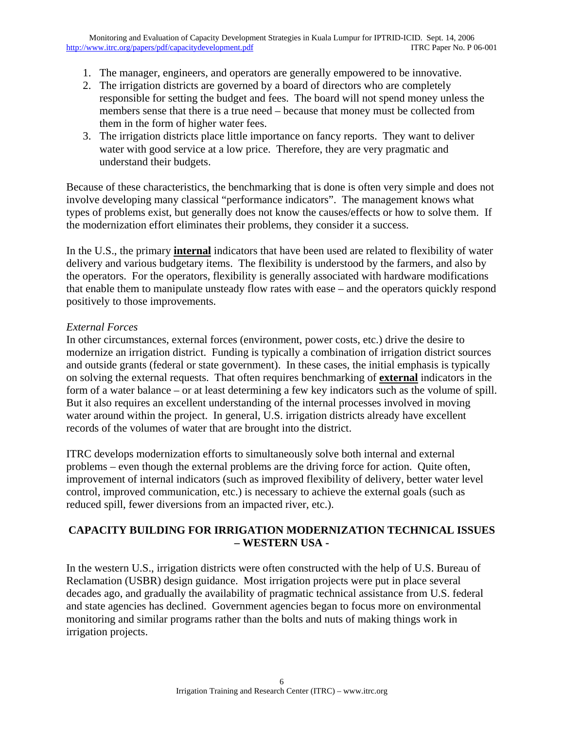- 1. The manager, engineers, and operators are generally empowered to be innovative.
- 2. The irrigation districts are governed by a board of directors who are completely responsible for setting the budget and fees. The board will not spend money unless the members sense that there is a true need – because that money must be collected from them in the form of higher water fees.
- 3. The irrigation districts place little importance on fancy reports. They want to deliver water with good service at a low price. Therefore, they are very pragmatic and understand their budgets.

Because of these characteristics, the benchmarking that is done is often very simple and does not involve developing many classical "performance indicators". The management knows what types of problems exist, but generally does not know the causes/effects or how to solve them. If the modernization effort eliminates their problems, they consider it a success.

In the U.S., the primary **internal** indicators that have been used are related to flexibility of water delivery and various budgetary items. The flexibility is understood by the farmers, and also by the operators. For the operators, flexibility is generally associated with hardware modifications that enable them to manipulate unsteady flow rates with ease – and the operators quickly respond positively to those improvements.

#### *External Forces*

In other circumstances, external forces (environment, power costs, etc.) drive the desire to modernize an irrigation district. Funding is typically a combination of irrigation district sources and outside grants (federal or state government). In these cases, the initial emphasis is typically on solving the external requests. That often requires benchmarking of **external** indicators in the form of a water balance – or at least determining a few key indicators such as the volume of spill. But it also requires an excellent understanding of the internal processes involved in moving water around within the project. In general, U.S. irrigation districts already have excellent records of the volumes of water that are brought into the district.

ITRC develops modernization efforts to simultaneously solve both internal and external problems – even though the external problems are the driving force for action. Quite often, improvement of internal indicators (such as improved flexibility of delivery, better water level control, improved communication, etc.) is necessary to achieve the external goals (such as reduced spill, fewer diversions from an impacted river, etc.).

## **CAPACITY BUILDING FOR IRRIGATION MODERNIZATION TECHNICAL ISSUES – WESTERN USA -**

In the western U.S., irrigation districts were often constructed with the help of U.S. Bureau of Reclamation (USBR) design guidance. Most irrigation projects were put in place several decades ago, and gradually the availability of pragmatic technical assistance from U.S. federal and state agencies has declined. Government agencies began to focus more on environmental monitoring and similar programs rather than the bolts and nuts of making things work in irrigation projects.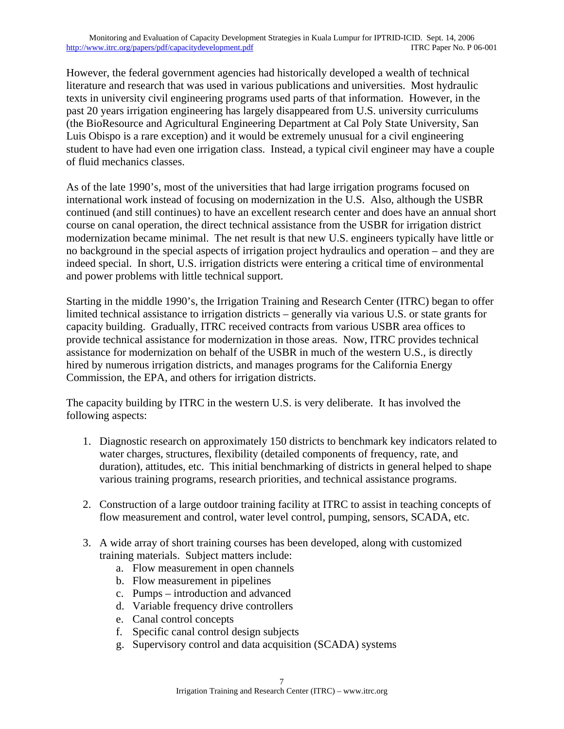However, the federal government agencies had historically developed a wealth of technical literature and research that was used in various publications and universities. Most hydraulic texts in university civil engineering programs used parts of that information. However, in the past 20 years irrigation engineering has largely disappeared from U.S. university curriculums (the BioResource and Agricultural Engineering Department at Cal Poly State University, San Luis Obispo is a rare exception) and it would be extremely unusual for a civil engineering student to have had even one irrigation class. Instead, a typical civil engineer may have a couple of fluid mechanics classes.

As of the late 1990's, most of the universities that had large irrigation programs focused on international work instead of focusing on modernization in the U.S. Also, although the USBR continued (and still continues) to have an excellent research center and does have an annual short course on canal operation, the direct technical assistance from the USBR for irrigation district modernization became minimal. The net result is that new U.S. engineers typically have little or no background in the special aspects of irrigation project hydraulics and operation – and they are indeed special. In short, U.S. irrigation districts were entering a critical time of environmental and power problems with little technical support.

Starting in the middle 1990's, the Irrigation Training and Research Center (ITRC) began to offer limited technical assistance to irrigation districts – generally via various U.S. or state grants for capacity building. Gradually, ITRC received contracts from various USBR area offices to provide technical assistance for modernization in those areas. Now, ITRC provides technical assistance for modernization on behalf of the USBR in much of the western U.S., is directly hired by numerous irrigation districts, and manages programs for the California Energy Commission, the EPA, and others for irrigation districts.

The capacity building by ITRC in the western U.S. is very deliberate. It has involved the following aspects:

- 1. Diagnostic research on approximately 150 districts to benchmark key indicators related to water charges, structures, flexibility (detailed components of frequency, rate, and duration), attitudes, etc. This initial benchmarking of districts in general helped to shape various training programs, research priorities, and technical assistance programs.
- 2. Construction of a large outdoor training facility at ITRC to assist in teaching concepts of flow measurement and control, water level control, pumping, sensors, SCADA, etc.
- 3. A wide array of short training courses has been developed, along with customized training materials. Subject matters include:
	- a. Flow measurement in open channels
	- b. Flow measurement in pipelines
	- c. Pumps introduction and advanced
	- d. Variable frequency drive controllers
	- e. Canal control concepts
	- f. Specific canal control design subjects
	- g. Supervisory control and data acquisition (SCADA) systems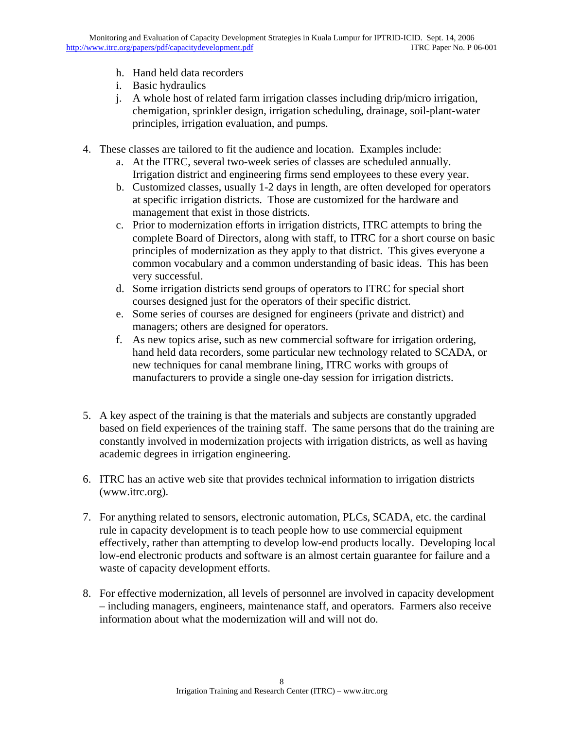- h. Hand held data recorders
- i. Basic hydraulics
- j. A whole host of related farm irrigation classes including drip/micro irrigation, chemigation, sprinkler design, irrigation scheduling, drainage, soil-plant-water principles, irrigation evaluation, and pumps.
- 4. These classes are tailored to fit the audience and location. Examples include:
	- a. At the ITRC, several two-week series of classes are scheduled annually. Irrigation district and engineering firms send employees to these every year.
	- b. Customized classes, usually 1-2 days in length, are often developed for operators at specific irrigation districts. Those are customized for the hardware and management that exist in those districts.
	- c. Prior to modernization efforts in irrigation districts, ITRC attempts to bring the complete Board of Directors, along with staff, to ITRC for a short course on basic principles of modernization as they apply to that district. This gives everyone a common vocabulary and a common understanding of basic ideas. This has been very successful.
	- d. Some irrigation districts send groups of operators to ITRC for special short courses designed just for the operators of their specific district.
	- e. Some series of courses are designed for engineers (private and district) and managers; others are designed for operators.
	- f. As new topics arise, such as new commercial software for irrigation ordering, hand held data recorders, some particular new technology related to SCADA, or new techniques for canal membrane lining, ITRC works with groups of manufacturers to provide a single one-day session for irrigation districts.
- 5. A key aspect of the training is that the materials and subjects are constantly upgraded based on field experiences of the training staff. The same persons that do the training are constantly involved in modernization projects with irrigation districts, as well as having academic degrees in irrigation engineering.
- 6. ITRC has an active web site that provides technical information to irrigation districts (www.itrc.org).
- 7. For anything related to sensors, electronic automation, PLCs, SCADA, etc. the cardinal rule in capacity development is to teach people how to use commercial equipment effectively, rather than attempting to develop low-end products locally. Developing local low-end electronic products and software is an almost certain guarantee for failure and a waste of capacity development efforts.
- 8. For effective modernization, all levels of personnel are involved in capacity development – including managers, engineers, maintenance staff, and operators. Farmers also receive information about what the modernization will and will not do.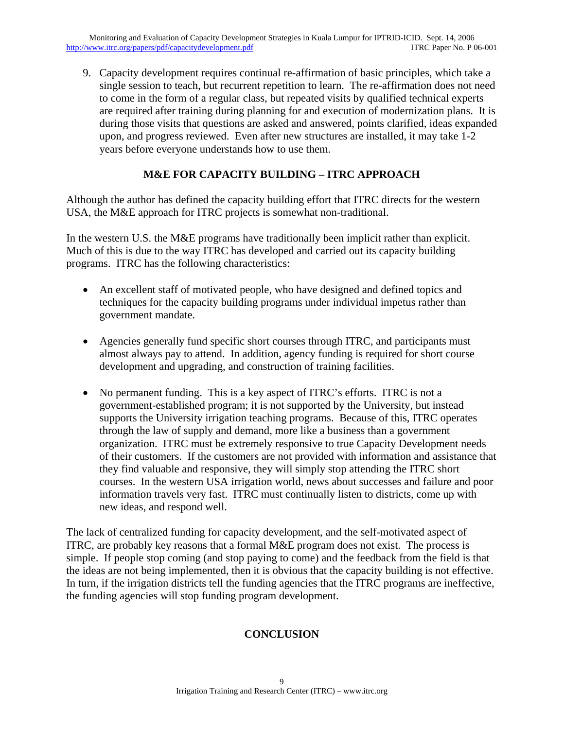9. Capacity development requires continual re-affirmation of basic principles, which take a single session to teach, but recurrent repetition to learn. The re-affirmation does not need to come in the form of a regular class, but repeated visits by qualified technical experts are required after training during planning for and execution of modernization plans. It is during those visits that questions are asked and answered, points clarified, ideas expanded upon, and progress reviewed. Even after new structures are installed, it may take 1-2 years before everyone understands how to use them.

## **M&E FOR CAPACITY BUILDING – ITRC APPROACH**

Although the author has defined the capacity building effort that ITRC directs for the western USA, the M&E approach for ITRC projects is somewhat non-traditional.

In the western U.S. the M&E programs have traditionally been implicit rather than explicit. Much of this is due to the way ITRC has developed and carried out its capacity building programs. ITRC has the following characteristics:

- An excellent staff of motivated people, who have designed and defined topics and techniques for the capacity building programs under individual impetus rather than government mandate.
- Agencies generally fund specific short courses through ITRC, and participants must almost always pay to attend. In addition, agency funding is required for short course development and upgrading, and construction of training facilities.
- No permanent funding. This is a key aspect of ITRC's efforts. ITRC is not a government-established program; it is not supported by the University, but instead supports the University irrigation teaching programs. Because of this, ITRC operates through the law of supply and demand, more like a business than a government organization. ITRC must be extremely responsive to true Capacity Development needs of their customers. If the customers are not provided with information and assistance that they find valuable and responsive, they will simply stop attending the ITRC short courses. In the western USA irrigation world, news about successes and failure and poor information travels very fast. ITRC must continually listen to districts, come up with new ideas, and respond well.

The lack of centralized funding for capacity development, and the self-motivated aspect of ITRC, are probably key reasons that a formal M&E program does not exist. The process is simple. If people stop coming (and stop paying to come) and the feedback from the field is that the ideas are not being implemented, then it is obvious that the capacity building is not effective. In turn, if the irrigation districts tell the funding agencies that the ITRC programs are ineffective, the funding agencies will stop funding program development.

#### **CONCLUSION**